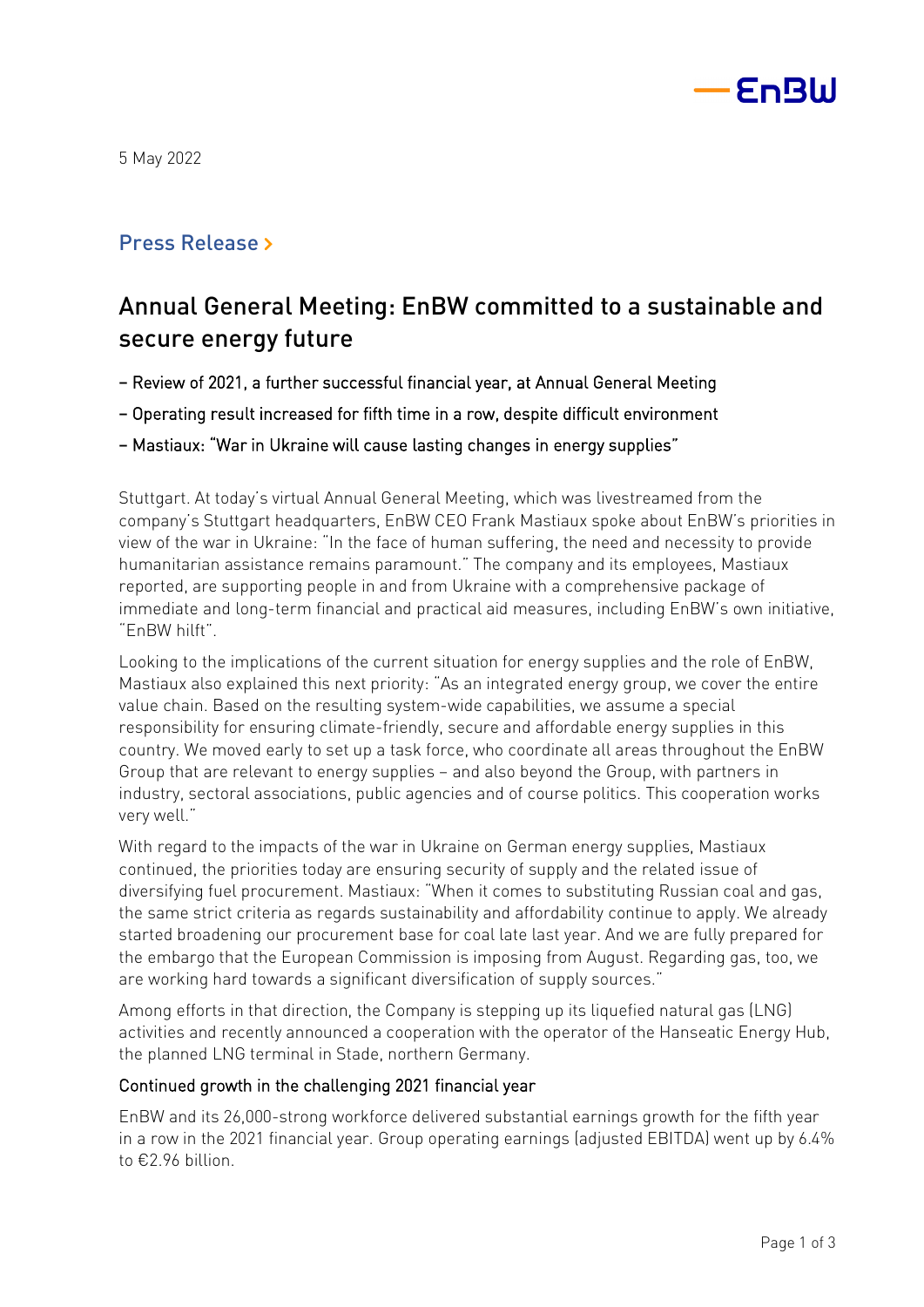

5 May 2022

# Press Release »

# Annual General Meeting: EnBW committed to a sustainable and secure energy future

- Review of 2021, a further successful financial year, at Annual General Meeting
- Operating result increased for fifth time in a row, despite difficult environment
- Mastiaux: "War in Ukraine will cause lasting changes in energy supplies"

Stuttgart. At today's virtual Annual General Meeting, which was livestreamed from the company's Stuttgart headquarters, EnBW CEO Frank Mastiaux spoke about EnBW's priorities in view of the war in Ukraine: "In the face of human suffering, the need and necessity to provide humanitarian assistance remains paramount." The company and its employees, Mastiaux reported, are supporting people in and from Ukraine with a comprehensive package of immediate and long-term financial and practical aid measures, including EnBW's own initiative, "EnBW hilft".

Looking to the implications of the current situation for energy supplies and the role of EnBW, Mastiaux also explained this next priority: "As an integrated energy group, we cover the entire value chain. Based on the resulting system-wide capabilities, we assume a special responsibility for ensuring climate-friendly, secure and affordable energy supplies in this country. We moved early to set up a task force, who coordinate all areas throughout the EnBW Group that are relevant to energy supplies – and also beyond the Group, with partners in industry, sectoral associations, public agencies and of course politics. This cooperation works very well."

With regard to the impacts of the war in Ukraine on German energy supplies, Mastiaux continued, the priorities today are ensuring security of supply and the related issue of diversifying fuel procurement. Mastiaux: "When it comes to substituting Russian coal and gas, the same strict criteria as regards sustainability and affordability continue to apply. We already started broadening our procurement base for coal late last year. And we are fully prepared for the embargo that the European Commission is imposing from August. Regarding gas, too, we are working hard towards a significant diversification of supply sources."

Among efforts in that direction, the Company is stepping up its liquefied natural gas (LNG) activities and recently announced a cooperation with the operator of the Hanseatic Energy Hub, the planned LNG terminal in Stade, northern Germany.

## Continued growth in the challenging 2021 financial year

EnBW and its 26,000-strong workforce delivered substantial earnings growth for the fifth year in a row in the 2021 financial year. Group operating earnings (adjusted EBITDA) went up by 6.4% to €2.96 billion.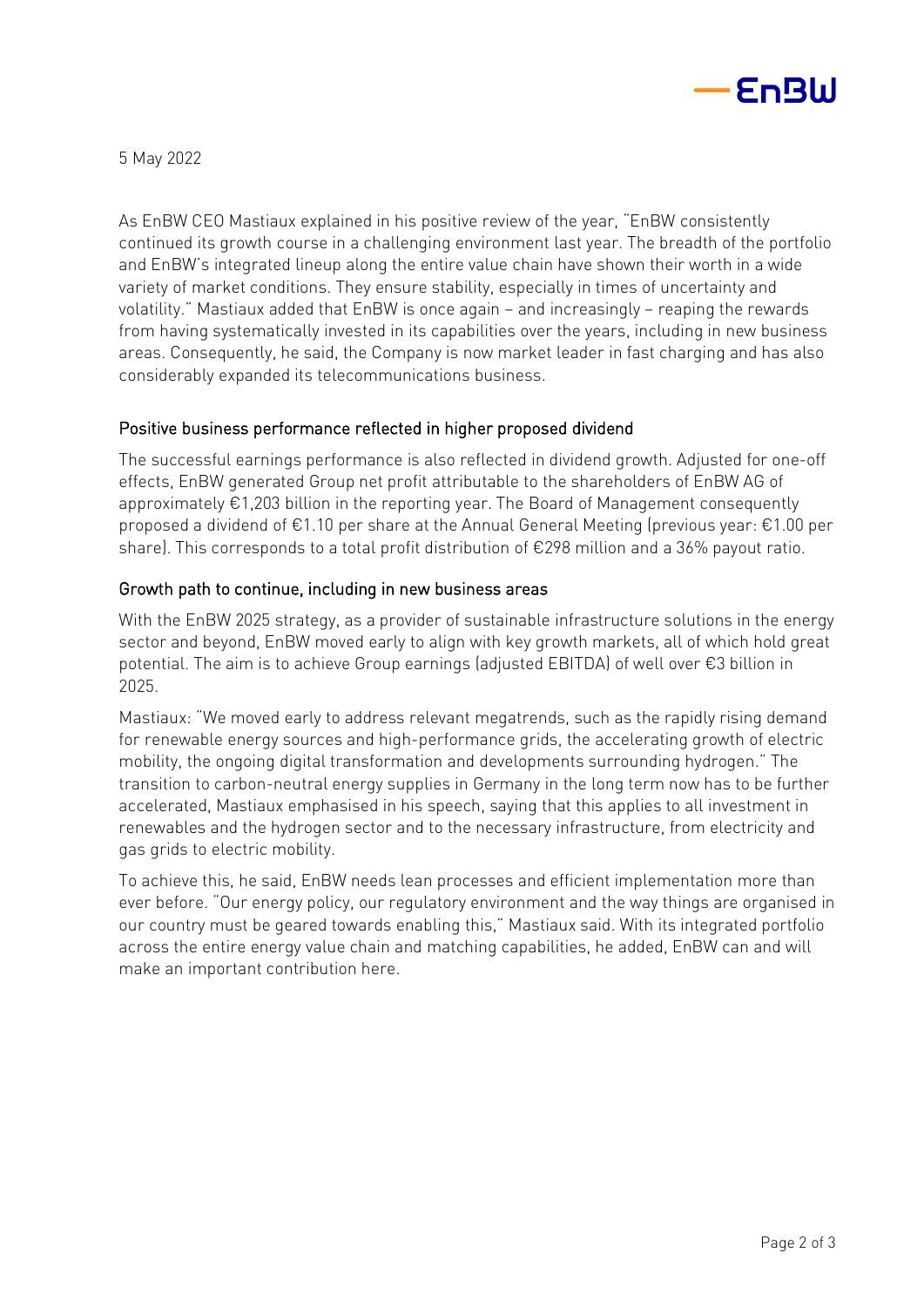

5 May 2022

As EnBW CEO Mastiaux explained in his positive review of the year, "EnBW consistently continued its growth course in a challenging environment last year. The breadth of the portfolio and EnBW's integrated lineup along the entire value chain have shown their worth in a wide variety of market conditions. They ensure stability, especially in times of uncertainty and volatility." Mastiaux added that EnBW is once again – and increasingly – reaping the rewards from having systematically invested in its capabilities over the years, including in new business areas. Consequently, he said, the Company is now market leader in fast charging and has also considerably expanded its telecommunications business.

# Positive business performance reflected in higher proposed dividend

The successful earnings performance is also reflected in dividend growth. Adjusted for one-off effects, EnBW generated Group net profit attributable to the shareholders of EnBW AG of approximately €1,203 billion in the reporting year. The Board of Management consequently proposed a dividend of €1.10 per share at the Annual General Meeting (previous year: €1.00 per share). This corresponds to a total profit distribution of €298 million and a 36% payout ratio.

## Growth path to continue, including in new business areas

With the EnBW 2025 strategy, as a provider of sustainable infrastructure solutions in the energy sector and beyond, EnBW moved early to align with key growth markets, all of which hold great potential. The aim is to achieve Group earnings (adjusted EBITDA) of well over €3 billion in 2025.

Mastiaux: "We moved early to address relevant megatrends, such as the rapidly rising demand for renewable energy sources and high-performance grids, the accelerating growth of electric mobility, the ongoing digital transformation and developments surrounding hydrogen." The transition to carbon-neutral energy supplies in Germany in the long term now has to be further accelerated, Mastiaux emphasised in his speech, saying that this applies to all investment in renewables and the hydrogen sector and to the necessary infrastructure, from electricity and gas grids to electric mobility.

To achieve this, he said, EnBW needs lean processes and efficient implementation more than ever before. "Our energy policy, our regulatory environment and the way things are organised in our country must be geared towards enabling this," Mastiaux said. With its integrated portfolio across the entire energy value chain and matching capabilities, he added, EnBW can and will make an important contribution here.